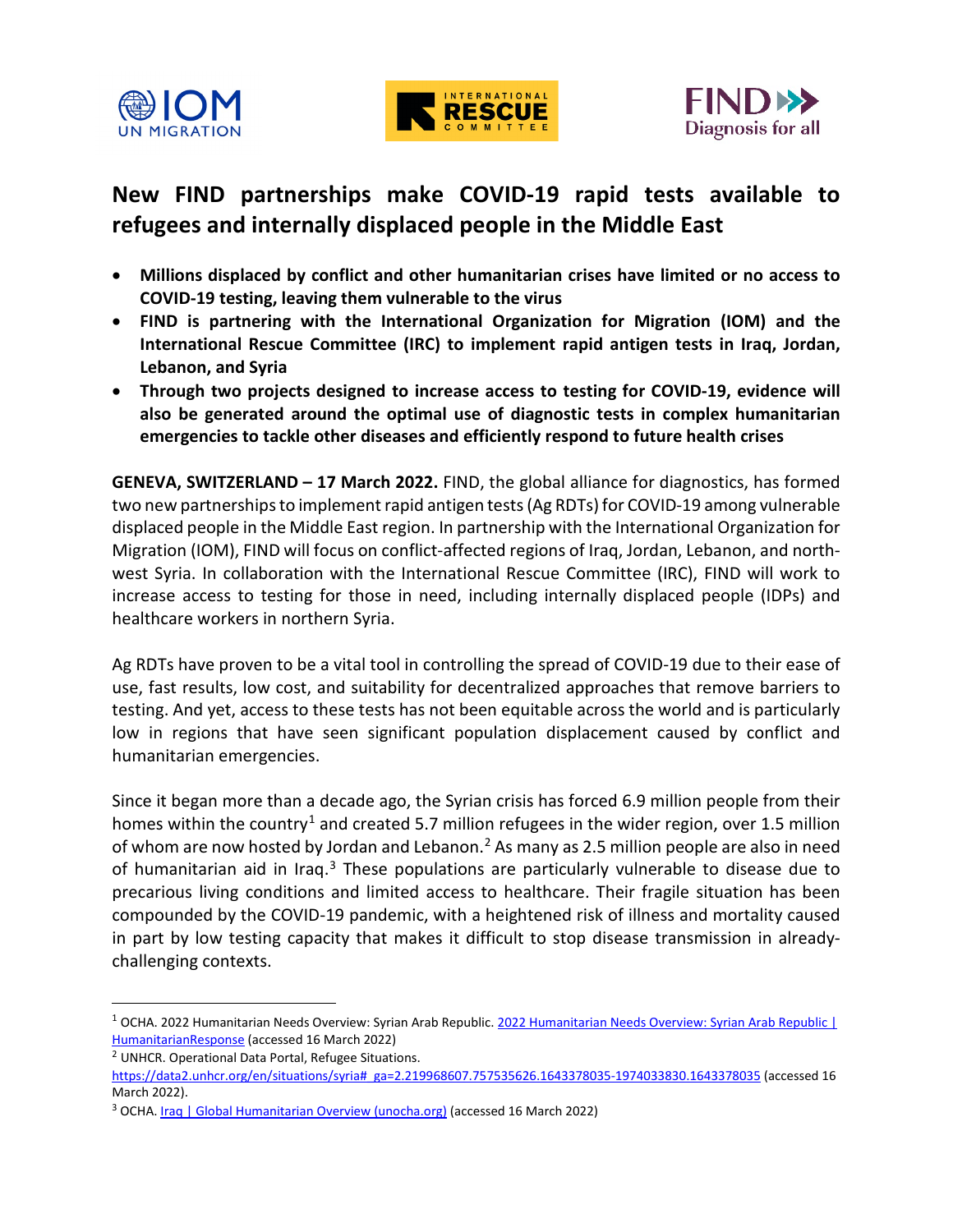





## **New FIND partnerships make COVID-19 rapid tests available to refugees and internally displaced people in the Middle East**

- **Millions displaced by conflict and other humanitarian crises have limited or no access to COVID-19 testing, leaving them vulnerable to the virus**
- **FIND is partnering with the International Organization for Migration (IOM) and the International Rescue Committee (IRC) to implement rapid antigen tests in Iraq, Jordan, Lebanon, and Syria**
- **Through two projects designed to increase access to testing for COVID-19, evidence will also be generated around the optimal use of diagnostic tests in complex humanitarian emergencies to tackle other diseases and efficiently respond to future health crises**

**GENEVA, SWITZERLAND – 17 March 2022.** FIND, the global alliance for diagnostics, has formed two new partnerships to implement rapid antigen tests (Ag RDTs) for COVID-19 among vulnerable displaced people in the Middle East region. In partnership with the International Organization for Migration (IOM), FIND will focus on conflict-affected regions of Iraq, Jordan, Lebanon, and northwest Syria. In collaboration with the International Rescue Committee (IRC), FIND will work to increase access to testing for those in need, including internally displaced people (IDPs) and healthcare workers in northern Syria.

Ag RDTs have proven to be a vital tool in controlling the spread of COVID-19 due to their ease of use, fast results, low cost, and suitability for decentralized approaches that remove barriers to testing. And yet, access to these tests has not been equitable across the world and is particularly low in regions that have seen significant population displacement caused by conflict and humanitarian emergencies.

Since it began more than a decade ago, the Syrian crisis has forced 6.9 million people from their homes within the country<sup>[1](#page-0-0)</sup> and created 5.7 million refugees in the wider region, over 1.5 million of whom are now hosted by Jordan and Lebanon.<sup>2</sup> As many as 2.5 million people are also in need of humanitarian aid in Iraq. $3$  These populations are particularly vulnerable to disease due to precarious living conditions and limited access to healthcare. Their fragile situation has been compounded by the COVID-19 pandemic, with a heightened risk of illness and mortality caused in part by low testing capacity that makes it difficult to stop disease transmission in alreadychallenging contexts.

<span id="page-0-0"></span><sup>&</sup>lt;sup>1</sup> OCHA. 2022 Humanitarian Needs Overview: Syrian Arab Republic. 2022 Humanitarian Needs Overview: Syrian Arab Republic | [HumanitarianResponse](https://www.humanitarianresponse.info/en/operations/whole-of-syria/document/2022-humanitarian-needs-overview-syrian-arab-republic) (accessed 16 March 2022)

<span id="page-0-1"></span><sup>2</sup> UNHCR. Operational Data Portal, Refugee Situations.

[https://data2.unhcr.org/en/situations/syria#\\_ga=2.219968607.757535626.1643378035-1974033830.1643378035](https://data2.unhcr.org/en/situations/syria#_ga=2.219968607.757535626.1643378035-1974033830.1643378035) (accessed 16 March 2022).

<span id="page-0-2"></span><sup>&</sup>lt;sup>3</sup> OCHA. **Iraq | Global Humanitarian Overview (unocha.org)** (accessed 16 March 2022)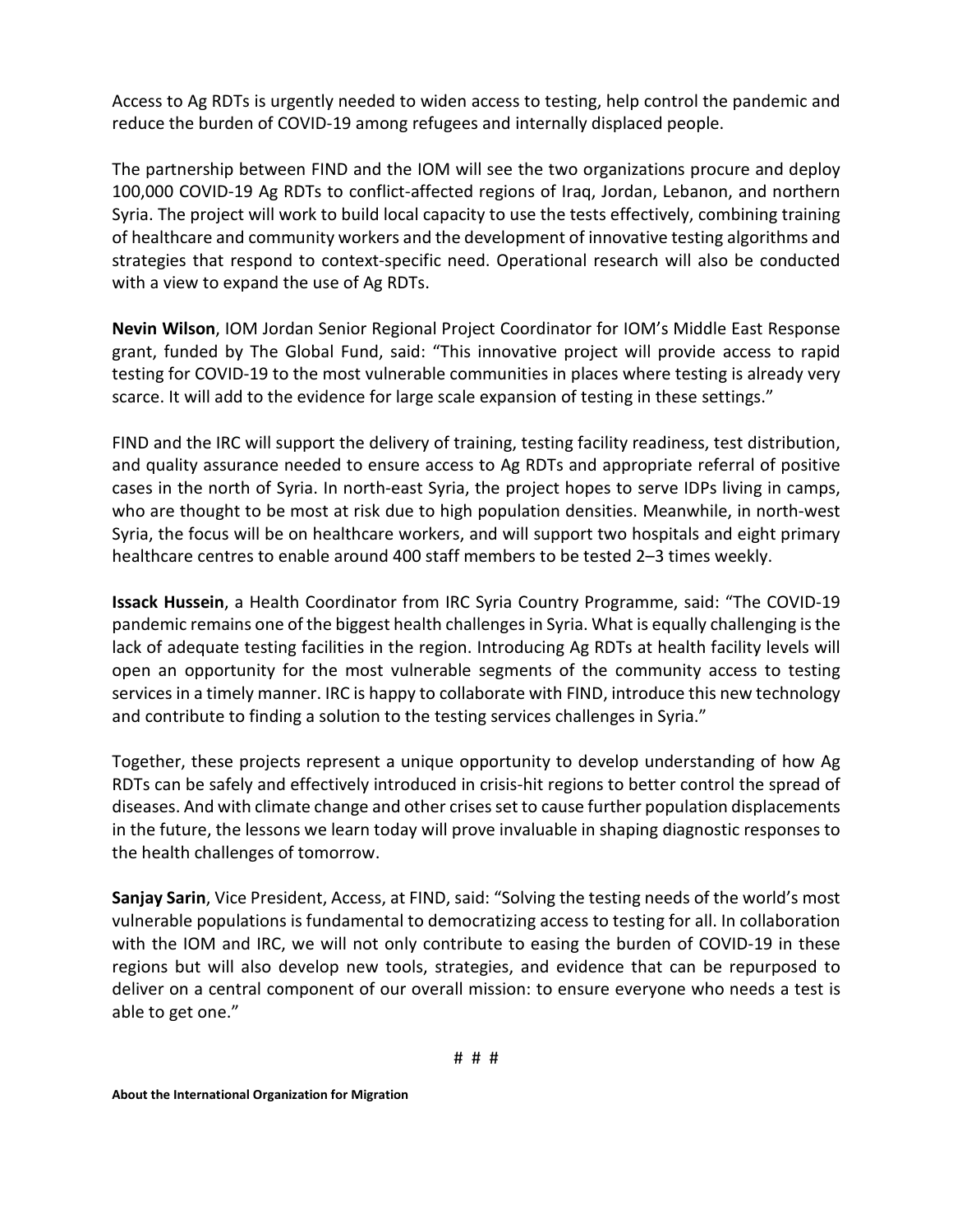Access to Ag RDTs is urgently needed to widen access to testing, help control the pandemic and reduce the burden of COVID-19 among refugees and internally displaced people.

The partnership between FIND and the IOM will see the two organizations procure and deploy 100,000 COVID-19 Ag RDTs to conflict-affected regions of Iraq, Jordan, Lebanon, and northern Syria. The project will work to build local capacity to use the tests effectively, combining training of healthcare and community workers and the development of innovative testing algorithms and strategies that respond to context-specific need. Operational research will also be conducted with a view to expand the use of Ag RDTs.

**Nevin Wilson**, IOM Jordan Senior Regional Project Coordinator for IOM's Middle East Response grant, funded by The Global Fund, said: "This innovative project will provide access to rapid testing for COVID-19 to the most vulnerable communities in places where testing is already very scarce. It will add to the evidence for large scale expansion of testing in these settings."

FIND and the IRC will support the delivery of training, testing facility readiness, test distribution, and quality assurance needed to ensure access to Ag RDTs and appropriate referral of positive cases in the north of Syria. In north-east Syria, the project hopes to serve IDPs living in camps, who are thought to be most at risk due to high population densities. Meanwhile, in north-west Syria, the focus will be on healthcare workers, and will support two hospitals and eight primary healthcare centres to enable around 400 staff members to be tested 2–3 times weekly.

**Issack Hussein**, a Health Coordinator from IRC Syria Country Programme, said: "The COVID-19 pandemic remains one of the biggest health challenges in Syria. What is equally challenging is the lack of adequate testing facilities in the region. Introducing Ag RDTs at health facility levels will open an opportunity for the most vulnerable segments of the community access to testing services in a timely manner. IRC is happy to collaborate with FIND, introduce this new technology and contribute to finding a solution to the testing services challenges in Syria."

Together, these projects represent a unique opportunity to develop understanding of how Ag RDTs can be safely and effectively introduced in crisis-hit regions to better control the spread of diseases. And with climate change and other crises set to cause further population displacements in the future, the lessons we learn today will prove invaluable in shaping diagnostic responses to the health challenges of tomorrow.

**Sanjay Sarin**, Vice President, Access, at FIND, said: "Solving the testing needs of the world's most vulnerable populations is fundamental to democratizing access to testing for all. In collaboration with the IOM and IRC, we will not only contribute to easing the burden of COVID-19 in these regions but will also develop new tools, strategies, and evidence that can be repurposed to deliver on a central component of our overall mission: to ensure everyone who needs a test is able to get one."